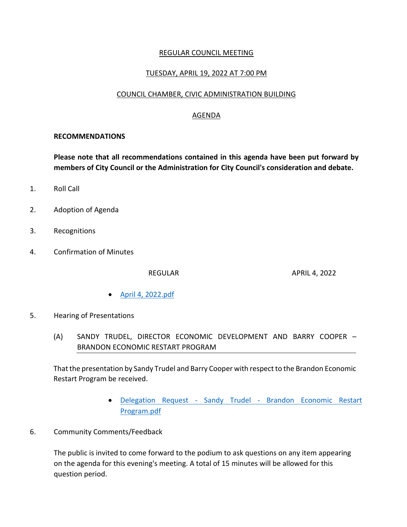## REGULAR COUNCIL MEETING

## TUESDAY, APRIL 19, 2022 AT 7:00 PM

#### COUNCIL CHAMBER, CIVIC ADMINISTRATION BUILDING

### AGENDA

#### **RECOMMENDATIONS**

**Please note that all recommendations contained in this agenda have been put forward by members of City Council or the Administration for City Council's consideration and debate.**

- 1. Roll Call
- 2. Adoption of Agenda
- 3. Recognitions
- 4. Confirmation of Minutes

REGULAR APRIL 4, 2022

- [April 4, 2022.pdf](https://paperlesscouncil.brandon.ca/attachments/A_2022/COM_SVLHAUFZMOHOBGOQVRYQVXLCUYQEHGMAJGCNLWANNXHEMJSWZUW_April%204,%202022.pdf)
- 5. Hearing of Presentations
	- (A) SANDY TRUDEL, DIRECTOR ECONOMIC DEVELOPMENT AND BARRY COOPER BRANDON ECONOMIC RESTART PROGRAM

That the presentation by Sandy Trudel and Barry Cooper with respect to the Brandon Economic Restart Program be received.

- Delegation Request Sandy Trudel [Brandon Economic Restart](https://paperlesscouncil.brandon.ca/attachments/A_2022/HOP_SMRKCSYDZHYYNQUDHCSSYPCHSEDHQKGCCPFBTYIAVVESLPGILHZ_Delegation%20Request%20-%20Sandy%20Trudel%20-%20Brandon%20Economic%20Restart%20Program.pdf)  [Program.pdf](https://paperlesscouncil.brandon.ca/attachments/A_2022/HOP_SMRKCSYDZHYYNQUDHCSSYPCHSEDHQKGCCPFBTYIAVVESLPGILHZ_Delegation%20Request%20-%20Sandy%20Trudel%20-%20Brandon%20Economic%20Restart%20Program.pdf)
- 6. Community Comments/Feedback

The public is invited to come forward to the podium to ask questions on any item appearing on the agenda for this evening's meeting. A total of 15 minutes will be allowed for this question period.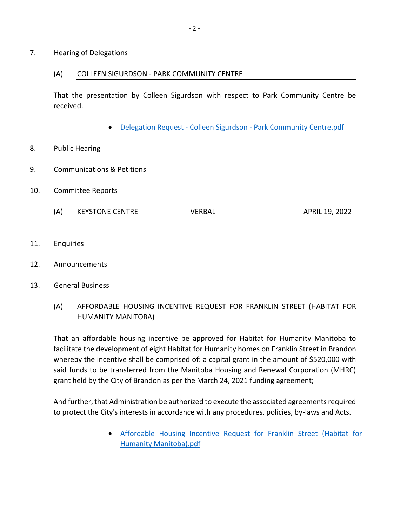#### (A) COLLEEN SIGURDSON - PARK COMMUNITY CENTRE

That the presentation by Colleen Sigurdson with respect to Park Community Centre be received.

Delegation Request - Colleen Sigurdson - [Park Community Centre.pdf](https://paperlesscouncil.brandon.ca/attachments/A_2022/HOD_WLYFKRERXZOQTKTLTFZADIYEZHHWTVFBXHZEAFVBDRFLIUCOPLE_Delegation%20Request%20-%20Colleen%20Sigurdson%20-%20Park%20Community%20Centre.pdf)

## 8. Public Hearing

- 9. Communications & Petitions
- 10. Committee Reports
	- (A) KEYSTONE CENTRE VERBAL VERBAL APRIL 19, 2022
- 11. Enquiries
- 12. Announcements
- 13. General Business
	- (A) AFFORDABLE HOUSING INCENTIVE REQUEST FOR FRANKLIN STREET (HABITAT FOR HUMANITY MANITOBA)

That an affordable housing incentive be approved for Habitat for Humanity Manitoba to facilitate the development of eight Habitat for Humanity homes on Franklin Street in Brandon whereby the incentive shall be comprised of: a capital grant in the amount of \$520,000 with said funds to be transferred from the Manitoba Housing and Renewal Corporation (MHRC) grant held by the City of Brandon as per the March 24, 2021 funding agreement;

And further, that Administration be authorized to execute the associated agreements required to protect the City's interests in accordance with any procedures, policies, by-laws and Acts.

> [Affordable Housing Incentive Request for Franklin Street \(Habitat for](https://paperlesscouncil.brandon.ca/attachments/A_2022/GEN_DJKZHNJNXYSDVQVVZUTOIOJXBURKYRXHFWRRMSJELWCEVNYQHTR_Affordable%20Housing%20Incentive%20Request%20for%20Franklin%20Street%20(Habitat%20for%20Humanity%20Manitoba).pdf)  [Humanity Manitoba\).pdf](https://paperlesscouncil.brandon.ca/attachments/A_2022/GEN_DJKZHNJNXYSDVQVVZUTOIOJXBURKYRXHFWRRMSJELWCEVNYQHTR_Affordable%20Housing%20Incentive%20Request%20for%20Franklin%20Street%20(Habitat%20for%20Humanity%20Manitoba).pdf)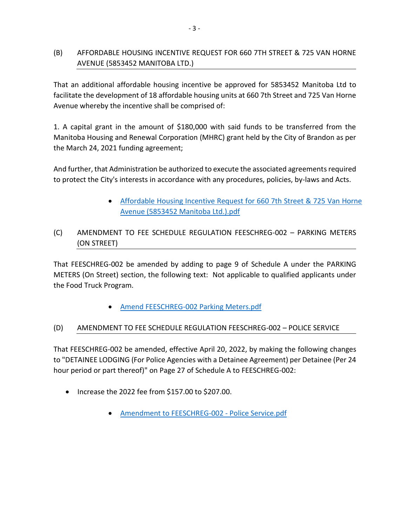# (B) AFFORDABLE HOUSING INCENTIVE REQUEST FOR 660 7TH STREET & 725 VAN HORNE AVENUE (5853452 MANITOBA LTD.)

That an additional affordable housing incentive be approved for 5853452 Manitoba Ltd to facilitate the development of 18 affordable housing units at 660 7th Street and 725 Van Horne Avenue whereby the incentive shall be comprised of:

1. A capital grant in the amount of \$180,000 with said funds to be transferred from the Manitoba Housing and Renewal Corporation (MHRC) grant held by the City of Brandon as per the March 24, 2021 funding agreement;

And further, that Administration be authorized to execute the associated agreements required to protect the City's interests in accordance with any procedures, policies, by-laws and Acts.

> [Affordable Housing Incentive Request for 660 7th Street & 725 Van Horne](https://paperlesscouncil.brandon.ca/attachments/A_2022/GEN_WPGVXUSWPOGTWBZLNUQWDTXLACNBSLUNFGZBEYWAOXAZPVAKOWZ_Affordable%20Housing%20Incentive%20Request%20for%20660%207th%20Street%20&%20725%20Van%20Horne%20Avenue%20(5853452%20Manitoba%20Ltd.).pdf)  [Avenue \(5853452 Manitoba Ltd.\).pdf](https://paperlesscouncil.brandon.ca/attachments/A_2022/GEN_WPGVXUSWPOGTWBZLNUQWDTXLACNBSLUNFGZBEYWAOXAZPVAKOWZ_Affordable%20Housing%20Incentive%20Request%20for%20660%207th%20Street%20&%20725%20Van%20Horne%20Avenue%20(5853452%20Manitoba%20Ltd.).pdf)

# (C) AMENDMENT TO FEE SCHEDULE REGULATION FEESCHREG-002 – PARKING METERS (ON STREET)

That FEESCHREG-002 be amended by adding to page 9 of Schedule A under the PARKING METERS (On Street) section, the following text: Not applicable to qualified applicants under the Food Truck Program.

[Amend FEESCHREG-002 Parking Meters.pdf](https://paperlesscouncil.brandon.ca/attachments/A_2022/GEN_IVTZUEAGOXCJPXRSLBZSTSIABJOSDGHAKJWVOAHBWMALVPGGYRR_Amend%20FEESCHREG-002%20Parking%20Meters.pdf)

## (D) AMENDMENT TO FEE SCHEDULE REGULATION FEESCHREG-002 – POLICE SERVICE

That FEESCHREG-002 be amended, effective April 20, 2022, by making the following changes to "DETAINEE LODGING (For Police Agencies with a Detainee Agreement) per Detainee (Per 24 hour period or part thereof)" on Page 27 of Schedule A to FEESCHREG-002:

- Increase the 2022 fee from \$157.00 to \$207.00.
	- [Amendment to FEESCHREG-002 -](https://paperlesscouncil.brandon.ca/attachments/A_2022/GEN_SVLVQPPGKSZINYUYKSQUDEEHHRFHLKYIFDIWTQKDFCOAKCKHNVN_Amendment%20to%20FEESCHREG-002%20-%20Police%20Service.pdf) Police Service.pdf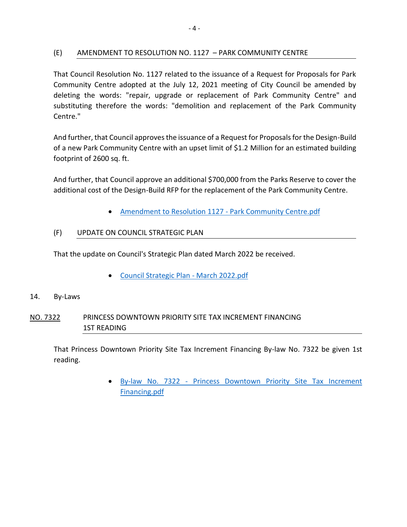## (E) AMENDMENT TO RESOLUTION NO. 1127 – PARK COMMUNITY CENTRE

That Council Resolution No. 1127 related to the issuance of a Request for Proposals for Park Community Centre adopted at the July 12, 2021 meeting of City Council be amended by deleting the words: "repair, upgrade or replacement of Park Community Centre" and substituting therefore the words: "demolition and replacement of the Park Community Centre."

And further, that Council approves the issuance of a Request for Proposals for the Design-Build of a new Park Community Centre with an upset limit of \$1.2 Million for an estimated building footprint of 2600 sq. ft.

And further, that Council approve an additional \$700,000 from the Parks Reserve to cover the additional cost of the Design-Build RFP for the replacement of the Park Community Centre.

[Amendment to Resolution 1127 -](https://paperlesscouncil.brandon.ca/attachments/A_2022/GEN_YOGRYNYLJQCJCAARRGRSACZHUWPAZDGGNVOAVZVEUBGICKYLOGA_Amendment%20to%20Resolution%201127%20-%20Park%20Community%20Centre.pdf) Park Community Centre.pdf

## (F) UPDATE ON COUNCIL STRATEGIC PLAN

That the update on Council's Strategic Plan dated March 2022 be received.

[Council Strategic Plan -](https://paperlesscouncil.brandon.ca/attachments/A_2022/GEN_CNIOBXICPRAQBMEJJAWNOMNHZGAWRSQIYFLKMTNDLHKONNPGXOT_Council%20Strategic%20Plan%20-%20March%202022.pdf) March 2022.pdf

#### 14. By-Laws

# NO. 7322 PRINCESS DOWNTOWN PRIORITY SITE TAX INCREMENT FINANCING 1ST READING

That Princess Downtown Priority Site Tax Increment Financing By-law No. 7322 be given 1st reading.

> By-law No. 7322 - [Princess Downtown Priority Site Tax Increment](https://paperlesscouncil.brandon.ca/attachments/A_2022/BYL_OZRACLXELNVTLNDQMNRGDBSQOONBPWGRWVAEOWZSHLJEIBUNKBA_By-law%20No.%207322%20-%20Princess%20Downtown%20Priority%20Site%20Tax%20Increment%20Financing.pdf)  [Financing.pdf](https://paperlesscouncil.brandon.ca/attachments/A_2022/BYL_OZRACLXELNVTLNDQMNRGDBSQOONBPWGRWVAEOWZSHLJEIBUNKBA_By-law%20No.%207322%20-%20Princess%20Downtown%20Priority%20Site%20Tax%20Increment%20Financing.pdf)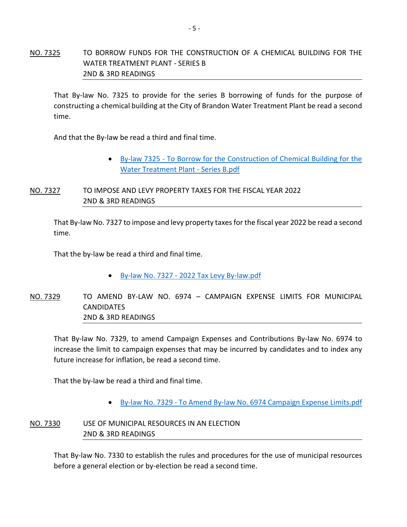# NO. 7325 TO BORROW FUNDS FOR THE CONSTRUCTION OF A CHEMICAL BUILDING FOR THE WATER TREATMENT PLANT - SERIES B 2ND & 3RD READINGS

That By-law No. 7325 to provide for the series B borrowing of funds for the purpose of constructing a chemical building at the City of Brandon Water Treatment Plant be read a second time.

And that the By-law be read a third and final time.

 By-law 7325 - [To Borrow for the Construction of Chemical Building for the](https://paperlesscouncil.brandon.ca/attachments/A_2022/BYL_MDLDRTOGMTTXCBAABTIATRQECVGEMIDHGJZVJFLWGBZJSPGOTAU_By-law%207325%20-%20To%20Borrow%20for%20the%20Construction%20of%20Chemical%20Building%20for%20the%20Water%20Treatment%20Plant%20-%20Series%20B.pdf)  [Water Treatment Plant -](https://paperlesscouncil.brandon.ca/attachments/A_2022/BYL_MDLDRTOGMTTXCBAABTIATRQECVGEMIDHGJZVJFLWGBZJSPGOTAU_By-law%207325%20-%20To%20Borrow%20for%20the%20Construction%20of%20Chemical%20Building%20for%20the%20Water%20Treatment%20Plant%20-%20Series%20B.pdf) Series B.pdf

# NO. 7327 TO IMPOSE AND LEVY PROPERTY TAXES FOR THE FISCAL YEAR 2022 2ND & 3RD READINGS

That By-law No. 7327 to impose and levy property taxes for the fiscal year 2022 be read a second time.

That the by-law be read a third and final time.

- By-law No. 7327 [2022 Tax Levy By-law.pdf](https://paperlesscouncil.brandon.ca/attachments/A_2022/BYL_ULTERXZZRVJBVXWWGUZJEJLWZUMZLLYAGUNVKIJUMTGNWKQBUBF_By-law%20No.%207327%20-%202022%20Tax%20Levy%20By-law.pdf)
- NO. 7329 TO AMEND BY-LAW NO. 6974 CAMPAIGN EXPENSE LIMITS FOR MUNICIPAL **CANDIDATES** 2ND & 3RD READINGS

That By-law No. 7329, to amend Campaign Expenses and Contributions By-law No. 6974 to increase the limit to campaign expenses that may be incurred by candidates and to index any future increase for inflation, be read a second time.

That the by-law be read a third and final time.

• By-law No. 7329 - [To Amend By-law No. 6974 Campaign Expense Limits.pdf](https://paperlesscouncil.brandon.ca/attachments/A_2022/BYL_APSPSPQOQIYCVRZMQHHVIVDXQNICIXLFSKWXOPVMAOEYHKBXBWS_By-law%20No.%207329%20-%20To%20Amend%20By-law%20No.%206974%20Campaign%20Expense%20Limits.pdf)

## NO. 7330 USE OF MUNICIPAL RESOURCES IN AN ELECTION 2ND & 3RD READINGS

That By-law No. 7330 to establish the rules and procedures for the use of municipal resources before a general election or by-election be read a second time.